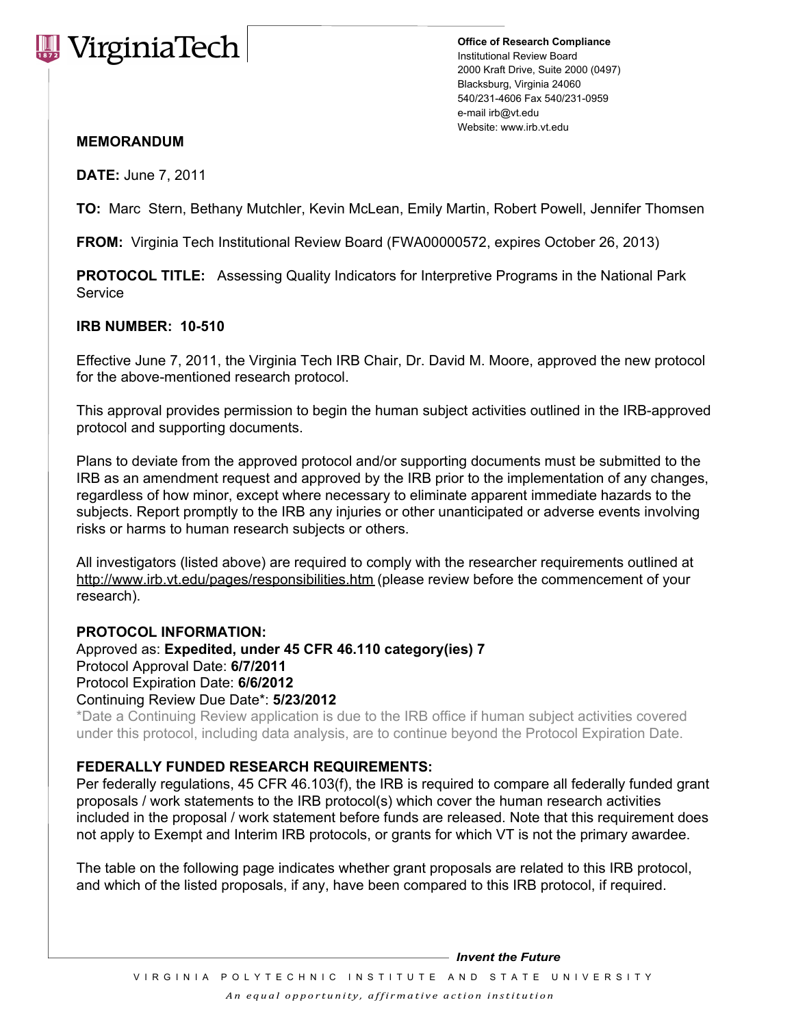# **WirginiaTech**

**Office of Research Compliance** Institutional Review Board 2000 Kraft Drive, Suite 2000 (0497) Blacksburg, Virginia 24060 540/231-4606 Fax 540/231-0959 e-mail irb@vt.edu Website: www.irb.vt.edu

## **MEMORANDUM**

**DATE:** June 7, 2011

**TO:** Marc Stern, Bethany Mutchler, Kevin McLean, Emily Martin, Robert Powell, Jennifer Thomsen

**FROM:** Virginia Tech Institutional Review Board (FWA00000572, expires October 26, 2013)

**PROTOCOL TITLE:** Assessing Quality Indicators for Interpretive Programs in the National Park Service

## **IRB NUMBER: 10-510**

Effective June 7, 2011, the Virginia Tech IRB Chair, Dr. David M. Moore, approved the new protocol for the above-mentioned research protocol.

This approval provides permission to begin the human subject activities outlined in the IRB-approved protocol and supporting documents.

Plans to deviate from the approved protocol and/or supporting documents must be submitted to the IRB as an amendment request and approved by the IRB prior to the implementation of any changes, regardless of how minor, except where necessary to eliminate apparent immediate hazards to the subjects. Report promptly to the IRB any injuries or other unanticipated or adverse events involving risks or harms to human research subjects or others.

All investigators (listed above) are required to comply with the researcher requirements outlined at http://www.irb.vt.edu/pages/responsibilities.htm (please review before the commencement of your research).

### **PROTOCOL INFORMATION:**

Approved as: **Expedited, under 45 CFR 46.110 category(ies) 7** Protocol Approval Date: **6/7/2011**  Protocol Expiration Date: **6/6/2012** Continuing Review Due Date\*: **5/23/2012**

\*Date a Continuing Review application is due to the IRB office if human subject activities covered under this protocol, including data analysis, are to continue beyond the Protocol Expiration Date.

### **FEDERALLY FUNDED RESEARCH REQUIREMENTS:**

Per federally regulations, 45 CFR 46.103(f), the IRB is required to compare all federally funded grant proposals / work statements to the IRB protocol(s) which cover the human research activities included in the proposal / work statement before funds are released. Note that this requirement does not apply to Exempt and Interim IRB protocols, or grants for which VT is not the primary awardee.

The table on the following page indicates whether grant proposals are related to this IRB protocol, and which of the listed proposals, if any, have been compared to this IRB protocol, if required.

*Invent the Future*